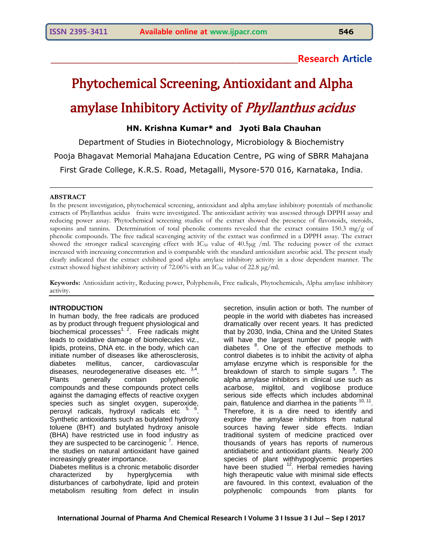# **\_\_\_\_\_\_\_\_\_\_\_\_\_\_\_\_\_\_\_\_\_\_\_\_\_\_\_\_\_\_\_\_\_\_\_\_\_\_\_\_\_\_\_\_\_\_\_\_\_\_\_\_\_\_\_\_\_\_\_\_Research Article**

# Phytochemical Screening, Antioxidant and Alpha amylase Inhibitory Activity of *Phyllanthus acidus*

# **HN. Krishna Kumar\* and Jyoti Bala Chauhan**

Department of Studies in Biotechnology, Microbiology & Biochemistry Pooja Bhagavat Memorial Mahajana Education Centre, PG wing of SBRR Mahajana First Grade College, K.R.S. Road, Metagalli, Mysore-570 016, Karnataka, India.

\_\_\_\_\_\_\_\_\_\_\_\_\_\_\_\_\_\_\_\_\_\_\_\_\_\_\_\_\_\_\_\_\_\_\_\_\_\_\_\_\_\_\_\_\_\_\_\_\_\_\_\_\_\_\_\_\_\_\_\_\_\_\_\_\_\_\_\_\_\_\_\_\_\_\_\_\_\_

## **ABSTRACT**

In the present investigation, phytochemical screening, antioxidant and alpha amylase inhibitory potentials of methanolic extracts of Phyllanthus acidus fruits were investigated. The antioxidant activity was assessed through DPPH assay and reducing power assay. Phytochemical screening studies of the extract showed the presence of flavonoids, steroids, saponins and tannins. Determination of total phenolic contents revealed that the extract contains 150.3 mg/g of phenolic compounds. The free radical scavenging activity of the extract was confirmed in a DPPH assay. The extract showed the stronger radical scavenging effect with  $IC_{50}$  value of 40.5µg /ml. The reducing power of the extract increased with increasing concentration and is comparable with the standard antioxidant ascorbic acid. The present study clearly indicated that the extract exhibited good alpha amylase inhibitory activity in a dose dependent manner. The extract showed highest inhibitory activity of 72.06% with an  $IC_{50}$  value of 22.8  $\mu$ g/ml.

**Keywords:** Antioxidant activity, Reducing power, Polyphenols, Free radicals, Phytochemicals, Alpha amylase inhibitory activity.

## **INTRODUCTION**

In human body, the free radicals are produced as by product through frequent physiological and biochemical processes<sup>1, 2</sup>. Free radicals might leads to oxidative damage of biomolecules viz., lipids, proteins, DNA etc. in the body, which can initiate number of diseases like atherosclerosis, diabetes mellitus, cancer, cardiovascular diseases, neurodegenerative diseases etc.  $3,4$ . Plants generally contain polyphenolic compounds and these compounds protect cells against the damaging effects of reactive oxygen species such as singlet oxygen, superoxide, peroxyl radicals, hydroxyl radicals etc <sup>5, 6</sup>. Synthetic antioxidants such as butylated hydroxy toluene (BHT) and butylated hydroxy anisole (BHA) have restricted use in food industry as they are suspected to be carcinogenic<sup>7</sup>. Hence, the studies on natural antioxidant have gained increasingly greater importance.

Diabetes mellitus is a chronic metabolic disorder characterized by hyperglycemia with disturbances of carbohydrate, lipid and protein metabolism resulting from defect in insulin secretion, insulin action or both. The number of people in the world with diabetes has increased dramatically over recent years. It has predicted that by 2030, India, China and the United States will have the largest number of people with diabetes <sup>8</sup>. One of the effective methods to control diabetes is to inhibit the activity of alpha amylase enzyme which is responsible for the breakdown of starch to simple sugars <sup>9</sup>. The alpha amylase inhibitors in clinical use such as acarbose, miglitol, and voglibose produce serious side effects which includes abdominal pain, flatulence and diarrhea in the patients  $^{10, 11}$ . Therefore, it is a dire need to identify and explore the amylase inhibitors from natural sources having fewer side effects. Indian traditional system of medicine practiced over thousands of years has reports of numerous antidiabetic and antioxidant plants. Nearly 200 species of plant withhypoglycemic properties have been studied <sup>12</sup>. Herbal remedies having high therapeutic value with minimal side effects are favoured. In this context, evaluation of the polyphenolic compounds from plants for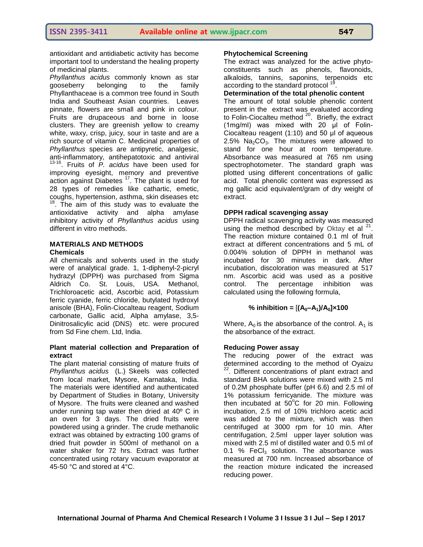antioxidant and antidiabetic activity has become important tool to understand the healing property of medicinal plants.

*Phyllanthus acidus* commonly known as star gooseberry belonging to the family Phyllanthaceae is a common tree found in South India and Southeast Asian countries. Leaves pinnate, flowers are small and pink in colour. Fruits are drupaceous and borne in loose clusters. They are greenish yellow to creamy white, waxy, crisp, juicy, sour in taste and are a rich source of vitamin C. Medicinal properties of *Phyllanthus* species are antipyretic, analgesic, anti-inflammatory, antihepatotoxic and antiviral 13-16 . Fruits of *P. acidus* have been used for improving eyesight, memory and preventive action against Diabetes<sup>17</sup>. The plant is used for 28 types of remedies like cathartic, emetic, coughs, hypertension, asthma, skin diseases etc <sup>18</sup>. The aim of this study was to evaluate the antioxidative activity and alpha amylase inhibitory activity of *Phyllanthus acidus* using different in vitro methods.

# **MATERIALS AND METHODS Chemicals**

All chemicals and solvents used in the study were of analytical grade. 1, 1-diphenyl-2-picryl hydrazyl (DPPH) was purchased from Sigma Aldrich Co. St. Louis, USA. Methanol, Trichloroacetic acid, Ascorbic acid, Potassium ferric cyanide, ferric chloride, butylated hydroxyl anisole (BHA), Folin-Ciocalteau reagent, Sodium carbonate, Gallic acid, Alpha amylase, 3,5- Dinitrosalicylic acid (DNS) etc. were procured from Sd Fine chem. Ltd, India.

## **Plant material collection and Preparation of extract**

The plant material consisting of mature fruits of *Phyllanthus acidus* [\(L.\)](https://en.wikipedia.org/wiki/Carl_Linnaeus) [Skeels](https://en.wikipedia.org/w/index.php?title=Homer_Collar_Skeels&action=edit&redlink=1) was collected from local market, Mysore, Karnataka, India. The materials were identified and authenticated by Department of Studies in Botany, University of Mysore. The fruits were cleaned and washed under running tap water then dried at 40º C in an oven for 3 days. The dried fruits were powdered using a grinder. The crude methanolic extract was obtained by extracting 100 grams of dried fruit powder in 500ml of methanol on a water shaker for 72 hrs. Extract was further concentrated using rotary vacuum evaporator at 45-50 °C and stored at 4°C.

# **Phytochemical Screening**

The extract was analyzed for the active phytoconstituents such as phenols, flavonoids, alkaloids, tannins, saponins, terpenoids etc according to the standard protocol <sup>19</sup>.

# **Determination of the total phenolic content**

The amount of total soluble phenolic content present in the extract was evaluated according to Folin-Ciocalteu method <sup>20</sup>. Briefly, the extract (1mg/ml) was mixed with 20 μl of Folin-Ciocalteau reagent (1:10) and 50 μl of aqueous 2.5%  $Na<sub>2</sub>CO<sub>3</sub>$ . The mixtures were allowed to stand for one hour at room temperature. Absorbance was measured at 765 nm using spectrophotometer. The standard graph was plotted using different concentrations of gallic acid. Total phenolic content was expressed as mg gallic acid equivalent/gram of dry weight of extract.

# **DPPH radical scavenging assay**

DPPH radical scavenging activity was measured using the method described by Oktay et al  $21$ . The reaction mixture contained 0.1 ml of fruit extract at different concentrations and 5 mL of 0.004% solution of DPPH in methanol was incubated for 30 minutes in dark. After incubation, discoloration was measured at 517 nm. Ascorbic acid was used as a positive control. The percentage inhibition was calculated using the following formula,

# % inhibition =  $[(A_0 - A_1)/A_0] \times 100$

Where,  $A_0$  is the absorbance of the control.  $A_1$  is the absorbance of the extract.

# **Reducing Power assay**

The reducing power of the extract was determined according to the method of Oyaizu <sup>22</sup>. Different concentrations of plant extract and standard BHA solutions were mixed with 2.5 ml of 0.2M phosphate buffer (pH 6.6) and 2.5 ml of 1% potassium ferricyanide. The mixture was then incubated at  $50^{\circ}$ C for 20 min. Following incubation, 2.5 ml of 10% trichloro acetic acid was added to the mixture, which was then centrifuged at 3000 rpm for 10 min. After centrifugation, 2.5ml upper layer solution was mixed with 2.5 ml of distilled water and 0.5 ml of 0.1 % FeCl<sub>3</sub> solution. The absorbance was measured at 700 nm. Increased absorbance of the reaction mixture indicated the increased reducing power.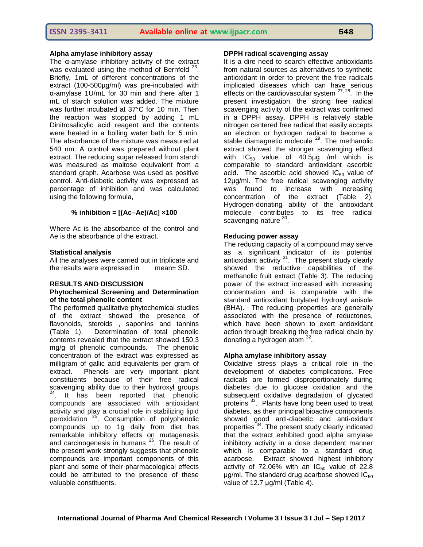#### **Alpha amylase inhibitory assay**

The α-amylase inhibitory activity of the extract was evaluated using the method of Bernfeld <sup>2</sup> . Briefly, 1mL of different concentrations of the extract (100-500µg/ml) was pre-incubated with α-amylase 1U/mL for 30 min and there after 1 mL of starch solution was added. The mixture was further incubated at 37°C for 10 min. Then the reaction was stopped by adding 1 mL Dinitrosalicylic acid reagent and the contents were heated in a boiling water bath for 5 min. The absorbance of the mixture was measured at 540 nm. A control was prepared without plant extract. The reducing sugar released from starch was measured as maltose equivalent from a standard graph. Acarbose was used as positive control. Anti-diabetic activity was expressed as percentage of inhibition and was calculated using the following formula,

## **% inhibition = [(Ac–Ae)/Ac] ×100**

Where Ac is the absorbance of the control and Ae is the absorbance of the extract.

#### **Statistical analysis**

All the analyses were carried out in triplicate and the results were expressed in mean± SD.

# **RESULTS AND DISCUSSION**

# **Phytochemical Screening and Determination of the total phenolic content**

The performed qualitative phytochemical studies of the extract showed the presence of flavonoids, steroids , saponins and tannins (Table 1). Determination of total phenolic contents revealed that the extract showed 150.3 mg/g of phenolic compounds. The phenolic concentration of the extract was expressed as milligram of gallic acid equivalents per gram of extract. Phenols are very important plant constituents because of their free radical scavenging ability due to their hydroxyl groups <sup>24</sup>. It has been reported that phenolic compounds are associated with antioxidant activity and play a crucial role in stabilizing lipid peroxidation <sup>25</sup>. Consumption of polyphenolic compounds up to 1g daily from diet has remarkable inhibitory effects on mutagenesis and carcinogenesis in humans <sup>26</sup>. The result of the present work strongly suggests that phenolic compounds are important components of this plant and some of their pharmacological effects could be attributed to the presence of these valuable constituents.

#### **DPPH radical scavenging assay**

It is a dire need to search effective antioxidants from natural sources as alternatives to synthetic antioxidant in order to prevent the free radicals implicated diseases which can have serious effects on the cardiovascular system  $27,28$ . In the present investigation, the strong free radical scavenging activity of the extract was confirmed in a DPPH assay. DPPH is relatively stable nitrogen centered free radical that easily accepts an electron or hydrogen radical to become a stable diamagnetic molecule  $29$ . The methanolic extract showed the stronger scavenging effect with  $IC_{50}$  value of 40.5µg /ml which is comparable to standard antioxidant ascorbic acid. The ascorbic acid showed  $IC_{50}$  value of 12µg/ml. The free radical scavenging activity was found to increase with increasing concentration of the extract (Table 2). Hydrogen-donating ability of the antioxidant molecule contributes to its free radical scavenging nature <sup>30</sup>.

#### **Reducing power assay**

The reducing capacity of a compound may serve as a significant indicator of its potential antioxidant activity  $31$ . The present study clearly showed the reductive capabilities of the methanolic fruit extract (Table 3). The reducing power of the extract increased with increasing concentration and is comparable with the standard antioxidant butylated hydroxyl anisole (BHA). The reducing properties are generally associated with the presence of reductones, which have been shown to exert antioxidant action through breaking the free radical chain by donating a hydrogen atom  $32$ .

#### **Alpha amylase inhibitory assay**

Oxidative stress plays a critical role in the development of diabetes complications. Free radicals are formed disproportionately during diabetes due to glucose oxidation and the subsequent oxidative degradation of glycated proteins <sup>33</sup>. Plants have long been used to treat diabetes, as their principal bioactive components showed good anti-diabetic and anti-oxidant properties<sup>34</sup>. The present study clearly indicated that the extract exhibited good alpha amylase inhibitory activity in a dose dependent manner which is comparable to a standard drug acarbose. Extract showed highest inhibitory activity of 72.06% with an  $IC_{50}$  value of 22.8  $\mu$ g/ml. The standard drug acarbose showed IC $_{50}$ value of 12.7 μg/ml (Table 4).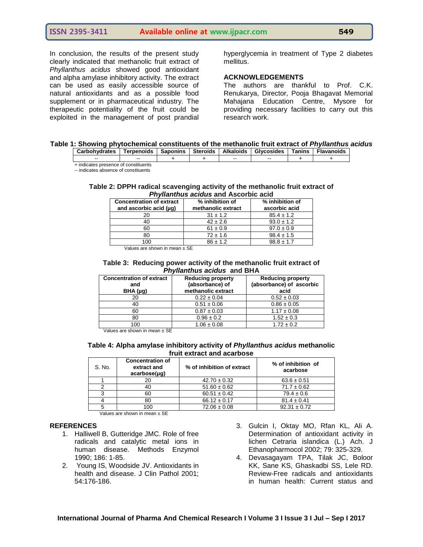In conclusion, the results of the present study clearly indicated that methanolic fruit extract of *Phyllanthus acidus* showed good antioxidant and alpha amylase inhibitory activity. The extract can be used as easily accessible source of natural antioxidants and as a possible food supplement or in pharmaceutical industry. The therapeutic potentiality of the fruit could be exploited in the management of post prandial hyperglycemia in treatment of Type 2 diabetes mellitus.

## **ACKNOWLEDGEMENTS**

The authors are thankful to Prof. C.K. Renukarya, Director, Pooja Bhagavat Memorial Mahajana Education Centre, Mysore for providing necessary facilities to carry out this research work.

| Table 1: Showing phytochemical constituents of the methanolic fruit extract of Phyllanthus acidus |
|---------------------------------------------------------------------------------------------------|
|---------------------------------------------------------------------------------------------------|

| Carbohydrates                        | Terpenoids | Saponins | <b>Steroids</b> | <b>Alkaloids</b> | <b>Glycosides</b> | Tanins | <b>Flavanoids</b> |
|--------------------------------------|------------|----------|-----------------|------------------|-------------------|--------|-------------------|
| $- -$                                | $- -$      |          |                 | $-$              | $- -$             |        |                   |
| + indicates presence of constituents |            |          |                 |                  |                   |        |                   |

-- indicates absence of constituents

#### **Table 2: DPPH radical scavenging activity of the methanolic fruit extract of** *Phyllanthus acidus* **and Ascorbic acid**

| <b>Concentration of extract</b><br>and ascorbic acid (µq) | % inhibition of<br>methanolic extract | % inhibition of<br>ascorbic acid |
|-----------------------------------------------------------|---------------------------------------|----------------------------------|
|                                                           | $31 \pm 1.2$                          | $85.4 \pm 1.2$                   |
| 40                                                        | $42 \pm 2.6$                          | $93.0 \pm 1.2$                   |
| 60                                                        | $61 \pm 0.9$                          | $97.0 \pm 0.9$                   |
| 80                                                        | $72 \pm 1.6$                          | $98.4 \pm 1.5$                   |
| ΩO                                                        | $86 + 1.2$                            | $98.8 \pm 1.7$                   |

Values are shown in mean ± SE

#### **Table 3: Reducing power activity of the methanolic fruit extract of** *Phyllanthus acidus* **and BHA**

| <b>Concentration of extract</b><br>and | <b>Reducing property</b><br>(absorbance) of | <b>Reducing property</b><br>(absorbance) of ascorbic |  |
|----------------------------------------|---------------------------------------------|------------------------------------------------------|--|
| BHA (µg)                               | methanolic extract                          | acid                                                 |  |
| 20                                     | $0.22 \pm 0.04$                             | $0.52 \pm 0.03$                                      |  |
| 40                                     | $0.51 \pm 0.06$                             | $0.86 \pm 0.05$                                      |  |
| 60                                     | $0.87 \pm 0.03$                             | $1.17 \pm 0.08$                                      |  |
| 80                                     | $0.96 \pm 0.2$                              | $1.52 \pm 0.3$                                       |  |
| 100<br>.<br>--                         | $1.06 \pm 0.08$                             | $1.72 \pm 0.2$                                       |  |

Values are shown in mean ± SE

#### **Table 4: Alpha amylase inhibitory activity of** *Phyllanthus acidus* **methanolic fruit extract and acarbose**

| S. No. | <b>Concentration of</b><br>extract and<br>acarbose(µg) | % of inhibition of extract | % of inhibition of<br>acarbose |
|--------|--------------------------------------------------------|----------------------------|--------------------------------|
|        | 20                                                     | $42.70 \pm 0.32$           | $63.6 \pm 0.51$                |
|        | 40                                                     | $51.60 \pm 0.62$           | $71.7 \pm 0.62$                |
|        | 60                                                     | $60.51 \pm 0.42$           | $79.4 \pm 0.6$                 |
|        | 80                                                     | $66.12 \pm 0.17$           | $81.4 \pm 0.41$                |
|        | 100                                                    | $72.06 \pm 0.08$           | $92.31 \pm 0.72$               |

Values are shown in mean ± SE

#### **REFERENCES**

- 1. Halliwell B, Gutteridge JMC. Role of free radicals and catalytic metal ions in human disease. Methods Enzymol 1990; 186: 1-85.
- 2. Young IS, Woodside JV. Antioxidants in health and disease. J Clin Pathol 2001; 54:176-186.
- 3. Gulcin I, Oktay MO, Rfan KL, Ali A. Determination of antioxidant activity in lichen Cetraria islandica (L.) Ach. J Ethanopharmocol 2002; 79: 325-329.
- 4. Devasagayam TPA, Tilak JC, Boloor KK, Sane KS, Ghaskadbi SS, Lele RD. Review-Free radicals and antioxidants in human health: Current status and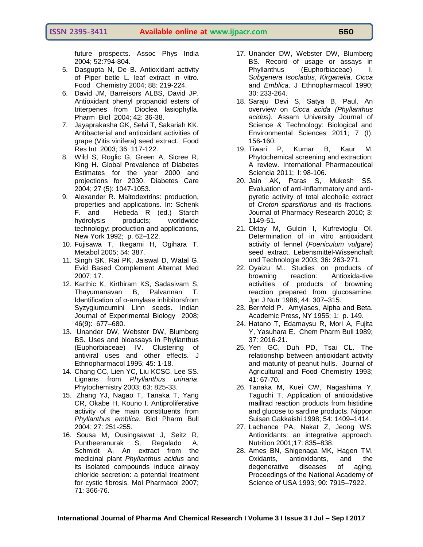future prospects. Assoc Phys India 2004; 52:794-804.

- 5. Dasgupta N, De B. Antioxidant activity of Piper betle L. leaf extract in vitro. Food Chemistry 2004; 88: 219-224.
- 6. David JM, Barreisors ALBS, David JP. Antioxidant phenyl propanoid esters of triterpenes from Dioclea lasiophylla. Pharm Biol 2004; 42: 36-38.
- 7. Jayaprakasha GK, Selvi T, Sakariah KK. Antibacterial and antioxidant activities of grape (Vitis vinifera) seed extract. Food Res Int 2003; 36: 117-122.
- 8. Wild S, Roglic G, Green A, Sicree R, King H. [Global Prevalence of Diabetes](http://care.diabetesjournals.org/content/27/5/1047)  [Estimates for the year 2000 and](http://care.diabetesjournals.org/content/27/5/1047)  [projections for 2030.](http://care.diabetesjournals.org/content/27/5/1047) Diabetes Care 2004; 27 (5): 1047-1053.
- 9. Alexander R. Maltodextrins: production, properties and applications. In: Schenk F. and Hebeda R (ed.) Starch hydrolysis products; worldwide technology: production and applications, New York 1992; p. 62–122.
- 10. Fujisawa T, Ikegami H, Ogihara T. Metabol 2005; 54: 387.
- 11. Singh SK, Rai PK, Jaiswal D, Watal G. Evid Based Complement Alternat Med 2007; 17.
- 12. Karthic K, Kirthiram KS, Sadasivam S, Thayumanavan B, Palvannan T. Identification of α-amylase inhibitorsfrom Syzygiumcumini Linn seeds. Indian Journal of Experimental Biology 2008; 46(9): 677–680.
- 13. Unander DW, Webster DW, Blumberg BS. Uses and bioassays in Phyllanthus (Euphorbiaceae) IV. Clustering of antiviral uses and other effects. J Ethnopharmacol 1995; 45: 1-18.
- 14. Chang CC, Lien YC, Liu KCSC, Lee SS. Lignans from *Phyllanthus urinaria*. Phytochemistry 2003; 63: 825-33.
- 15. Zhang YJ, Nagao T, Tanaka T, Yang CR, Okabe H, Kouno I. Antiproliferative activity of the main constituents from *Phyllanthus emblica*. Biol Pharm Bull 2004; 27: 251-255.
- 16. Sousa M, Ousingsawat J, Seitz R, Puntheeranurak S, Regalado A, Schmidt A. An extract from the medicinal plant *Phyllanthus acidus* and its isolated compounds induce airway chloride secretion: a potential treatment for cystic fibrosis. Mol Pharmacol 2007; 71: 366-76.
- 17. Unander DW, Webster DW, Blumberg BS. Record of usage or assays in Phyllanthus (Euphorbiaceae) I. *Subgenera Isocladus*, *Kirganelia, Cicca* and *Emblica*. J Ethnopharmacol 1990; 30: 233-264.
- 18. Saraju Devi S, Satya B, Paul. An overview on *Cicca acida (Phyllanthus acidus).* Assam University Journal of Science & Technology: Biological and Environmental Sciences 2011; 7 (I): 156-160.
- 19. Tiwari P, Kumar B, Kaur M. Phytochemical screening and extraction: A review. International Pharmaceutical Sciencia 2011; l: 98-106.
- 20. Jain AK, Paras S, Mukesh SS. Evaluation of anti-Inflammatory and antipyretic activity of total alcoholic extract of *Croton sparsiflorus* and its fractions. Journal of Pharmacy Research 2010; 3: 1149-51*.*
- 21. Oktay M, Gulcin I, Kufrevioglu OI. Determination of in vitro antioxidant activity of fennel (*Foeniculum vulgare*) seed extract. Lebensmittel-Wissenchaft und Technologie 2003; 36**:** 263-271.
- 22. Oyaizu M.. Studies on products of browning reaction: Antioxida-tive activities of products of browning reaction prepared from glucosamine. Jpn J Nutr 1986; 44: 307–315.
- 23. Bernfeld P. Amylases, Alpha and Beta. Academic Press, NY 1955; 1: p. 149.
- 24. Hatano T, Edamaysu R, Mori A, Fujita Y, Yasuhara E. Chem Pharm Bull 1989; 37: 2016-21.
- 25. Yen GC, Duh PD, Tsai CL. The relationship between antioxidant activity and maturity of peanut hulls. Journal of Agricultural and Food Chemistry 1993; 41: 67-70.
- 26. Tanaka M, Kuei CW, Nagashima Y, Taguchi T. Application of antioxidative maillrad reaction products from histidine and glucose to sardine products. Nippon Suisan Gakkaishi 1998; 54: 1409–1414.
- 27. Lachance PA, Nakat Z, Jeong WS. Antioxidants: an integrative approach. Nutrition 2001;17: 835–838.
- 28. Ames BN, Shigenaga MK, Hagen TM. Oxidants, antioxidants, and the degenerative diseases of aging. Proceedings of the National Academy of Science of USA 1993; 90: 7915–7922.